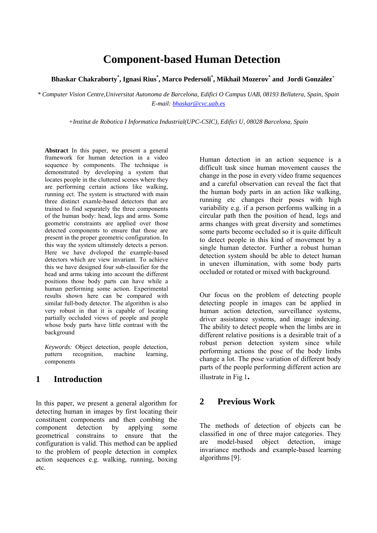# **Component-based Human Detection**

#### **Bhaskar Chakraborty\* , Ignasi Rius\* , Marco Pedersoli\* , Mikhail Mozerov\* and Jordi Gonzàlez+**

*\* Computer Vision Centre,Universitat Autonoma de Barcelona, Edifici O Campus UAB, 08193 Bellatera, Spain, Spain E-mail: bhaskar@cvc.uab.es*

*+Institut de Robotica I Informatica Industrial(UPC-CSIC), Edifici U, 08028 Barcelona, Spain*

**Abstract** In this paper, we present a general framework for human detection in a video sequence by components. The technique is demonstrated by developing a system that locates people in the cluttered scenes where they are performing certain actions like walking, running ect. The system is structured with main three distinct examle-based detectors that are trained to find separately the three components of the human body: head, legs and arms. Some geometric constraints are applied over those detected components to ensure that those are present in the proper geometric configuration. In this way the system ultimstely detects a person. Here we have dveloped the example-based detectors which are view invariant. To achieve this we have designed four sub-classifier for the head and arms taking into account the different positions those body parts can have while a human performing some action. Experimental results shown here can be compared with similar full-body detector. The algorithm is also very robust in that it is capable of locating partially occluded views of people and people whose body parts have little contrast with the background

*Keywords:* Object detection, people detection, pattern recognition, machine learning, components

# **1 Introduction**

In this paper, we present a general algorithm for detecting human in images by first locating their constituent components and then combing the component detection by applying some geometrical constrains to ensure that the configuration is valid. This method can be applied to the problem of people detection in complex action sequences e.g. walking, running, boxing etc.

Human detection in an action sequence is a difficult task since human movement causes the change in the pose in every video frame sequences and a careful observation can reveal the fact that the human body parts in an action like walking, running etc changes their poses with high variability e.g. if a person performs walking in a circular path then the position of head, legs and arms changes with great diversity and sometimes some parts become occluded so it is quite difficult to detect people in this kind of movement by a single human detector. Further a robust human detection system should be able to detect human in uneven illumination, with some body parts occluded or rotated or mixed with background.

Our focus on the problem of detecting people detecting people in images can be applied in human action detection, surveillance systems, driver assistance systems, and image indexing. The ability to detect people when the limbs are in different relative positions is a desirable trait of a robust person detection system since while performing actions the pose of the body limbs change a lot. The pose variation of different body parts of the people performing different action are illustrate in Fig 1**.**

# **2 Previous Work**

The methods of detection of objects can be classified in one of three major categories. They are model-based object detection, image invariance methods and example-based learning algorithms [9].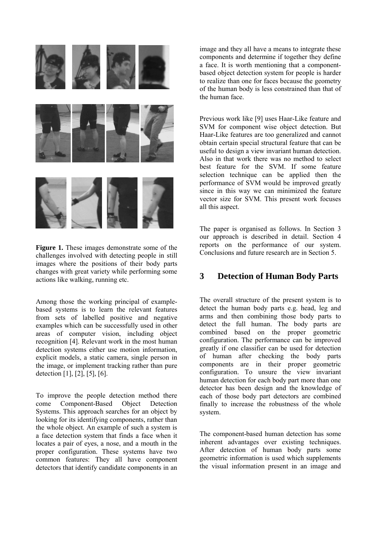

**Figure 1.** These images demonstrate some of the challenges involved with detecting people in still images where the positions of their body parts changes with great variety while performing some actions like walking, running etc.

Among those the working principal of examplebased systems is to learn the relevant features from sets of labelled positive and negative examples which can be successfully used in other areas of computer vision, including object recognition [4]. Relevant work in the most human detection systems either use motion information, explicit models, a static camera, single person in the image, or implement tracking rather than pure detection [1], [2], [5], [6].

To improve the people detection method there come Component-Based Object Detection Systems. This approach searches for an object by looking for its identifying components, rather than the whole object. An example of such a system is a face detection system that finds a face when it locates a pair of eyes, a nose, and a mouth in the proper configuration. These systems have two common features: They all have component detectors that identify candidate components in an

image and they all have a means to integrate these components and determine if together they define a face. It is worth mentioning that a componentbased object detection system for people is harder to realize than one for faces because the geometry of the human body is less constrained than that of the human face.

Previous work like [9] uses Haar-Like feature and SVM for component wise object detection. But Haar-Like features are too generalized and cannot obtain certain special structural feature that can be useful to design a view invariant human detection. Also in that work there was no method to select best feature for the SVM. If some feature selection technique can be applied then the performance of SVM would be improved greatly since in this way we can minimized the feature vector size for SVM. This present work focuses all this aspect.

The paper is organised as follows. In Section 3 our approach is described in detail. Section 4 reports on the performance of our system. Conclusions and future research are in Section 5.

# **3 Detection of Human Body Parts**

The overall structure of the present system is to detect the human body parts e.g. head, leg and arms and then combining those body parts to detect the full human. The body parts are combined based on the proper geometric configuration. The performance can be improved greatly if one classifier can be used for detection of human after checking the body parts components are in their proper geometric configuration. To unsure the view invariant human detection for each body part more than one detector has been design and the knowledge of each of those body part detectors are combined finally to increase the robustness of the whole system.

The component-based human detection has some inherent advantages over existing techniques. After detection of human body parts some geometric information is used which supplements the visual information present in an image and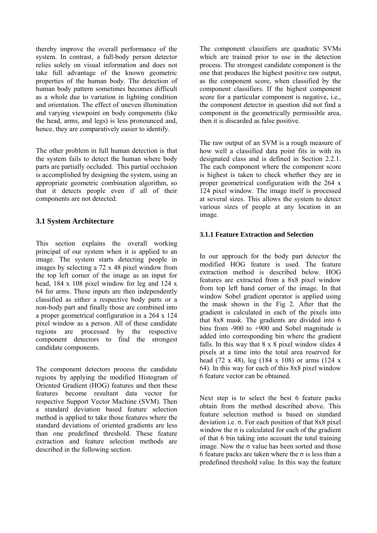thereby improve the overall performance of the system. In contrast, a full-body person detector relies solely on visual information and does not take full advantage of the known geometric properties of the human body. The detection of human body pattern sometimes becomes difficult as a whole due to variation in lighting condition and orientation. The effect of uneven illumination and varying viewpoint on body components (like the head, arms, and legs) is less pronounced and, hence, they are comparatively easier to identify.

The other problem in full human detection is that the system fails to detect the human where body parts are partially occluded. This partial occlusion is accomplished by designing the system, using an appropriate geometric combination algorithm, so that it detects people even if all of their components are not detected.

### **3.1 System Architecture**

This section explains the overall working principal of our system when it is applied to an image. The system starts detecting people in images by selecting a 72 x 48 pixel window from the top left corner of the image as an input for head, 184 x 108 pixel window for leg and 124 x 64 for arms. These inputs are then independently classified as either a respective body parts or a non-body part and finally those are combined into a proper geometrical configuration in a 264 x 124 pixel window as a person. All of these candidate regions are processed by the respective component detectors to find the strongest candidate components.

The component detectors process the candidate regions by applying the modified Histogram of Oriented Gradient (HOG) features and then these features become resultant data vector for respective Support Vector Machine (SVM). Then a standard deviation based feature selection method is applied to take those features where the standard deviations of oriented gradients are less than one predefined threshold. These feature extraction and feature selection methods are described in the following section.

The component classifiers are quadratic SVMs which are trained prior to use in the detection process. The strongest candidate component is the one that produces the highest positive raw output, as the component score, when classified by the component classifiers. If the highest component score for a particular component is negative, i.e., the component detector in question did not find a component in the geometrically permissible area, then it is discarded as false positive.

The raw output of an SVM is a rough measure of how well a classified data point fits in with its designated class and is defined in Section 2.2.1. The each component where the component score is highest is taken to check whether they are in proper geometrical configuration with the 264 x 124 pixel window. The image itself is processed at several sizes. This allows the system to detect various sizes of people at any location in an image.

#### **3.1.1 Feature Extraction and Selection**

In our approach for the body part detector the modified HOG feature is used. The feature extraction method is described below. HOG features are extracted from a 8x8 pixel window from top left hand corner of the image. In that window Sobel gradient operator is applied using the mask shown in the Fig 2. After that the gradient is calculated in each of the pixels into that 8x8 mask. The gradients are divided into 6 bins from -900 to +900 and Sobel magnitude is added into corresponding bin where the gradient falls. In this way that 8 x 8 pixel window slides 4 pixels at a time into the total area reserved for head (72 x 48), leg (184 x 108) or arms (124 x 64). In this way for each of this 8x8 pixel window 6 feature vector can be obtained.

Next step is to select the best 6 feature packs obtain from the method described above. This feature selection method is based on standard deviation i.e. σ. For each position of that 8x8 pixel window the  $\sigma$  is calculated for each of the gradient of that 6 bin taking into account the total training image. Now the  $\sigma$  value has been sorted and those 6 feature packs are taken where the  $\sigma$  is less than a predefined threshold value. In this way the feature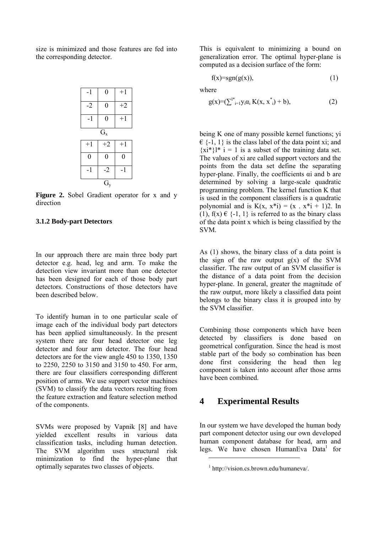size is minimized and those features are fed into the corresponding detector.

| $-1$             | $\boldsymbol{0}$ | $+1$ |
|------------------|------------------|------|
| $-2$             | $\boldsymbol{0}$ | $+2$ |
| $-1$             | $\boldsymbol{0}$ | $+1$ |
| $G_x$            |                  |      |
|                  |                  |      |
| $+1$             | $+2$             | $+1$ |
| $\boldsymbol{0}$ | $\boldsymbol{0}$ | 0    |
| $-1$             | $-2$             | $-1$ |

**Figure 2.** Sobel Gradient operator for x and y direction

#### **3.1.2 Body-part Detectors**

In our approach there are main three body part detector e.g. head, leg and arm. To make the detection view invariant more than one detector has been designed for each of those body part detectors. Constructions of those detectors have been described below.

To identify human in to one particular scale of image each of the individual body part detectors has been applied simultaneously. In the present system there are four head detector one leg detector and four arm detector. The four head detectors are for the view angle 450 to 1350, 1350 to 2250, 2250 to 3150 and 3150 to 450. For arm, there are four classifiers corresponding different position of arms. We use support vector machines (SVM) to classify the data vectors resulting from the feature extraction and feature selection method of the components.

SVMs were proposed by Vapnik [8] and have yielded excellent results in various data classification tasks, including human detection. The SVM algorithm uses structural risk minimization to find the hyper-plane that optimally separates two classes of objects.

This is equivalent to minimizing a bound on generalization error. The optimal hyper-plane is computed as a decision surface of the form:

$$
f(x)=sgn(g(x)), \qquad (1)
$$

where

$$
g(x) = (\sum_{i=1}^{1^*} y_i \alpha_i K(x, x^*_{i}) + b), \qquad (2)
$$

being K one of many possible kernel functions; yi  $\in$  {-1, 1} is the class label of the data point xi; and  ${x_i^*}$ !  $i = 1$  is a subset of the training data set. The values of xi are called support vectors and the points from the data set define the separating hyper-plane. Finally, the coefficients αi and b are determined by solving a large-scale quadratic programming problem. The kernel function K that is used in the component classifiers is a quadratic polynomial and is  $K(x, x^*i) = (x, x^*i + 1)2$ . In (1),  $f(x) \in \{-1, 1\}$  is referred to as the binary class of the data point x which is being classified by the SVM.

As (1) shows, the binary class of a data point is the sign of the raw output  $g(x)$  of the SVM classifier. The raw output of an SVM classifier is the distance of a data point from the decision hyper-plane. In general, greater the magnitude of the raw output, more likely a classified data point belongs to the binary class it is grouped into by the SVM classifier.

Combining those components which have been detected by classifiers is done based on geometrical configuration. Since the head is most stable part of the body so combination has been done first considering the head then leg component is taken into account after those arms have been combined.

### **4 Experimental Results**

In our system we have developed the human body part component detector using our own developed human component database for head, arm and legs. We have chosen HumanEva Data<sup>1</sup> for

1

<sup>1</sup> http://vision.cs.brown.edu/humaneva/.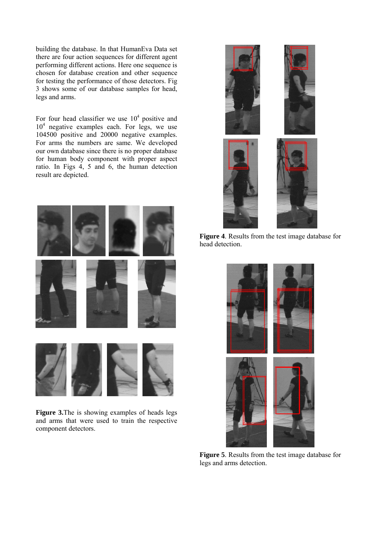building the database. In that HumanEva Data set there are four action sequences for different agent performing different actions. Here one sequence is chosen for database creation and other sequence for testing the performance of those detectors. Fig 3 shows some of our database samples for head, legs and arms.

For four head classifier we use  $10<sup>4</sup>$  positive and 10<sup>4</sup> negative examples each. For legs, we use 104500 positive and 20000 negative examples. For arms the numbers are same. We developed our own database since there is no proper database for human body component with proper aspect ratio. In Figs 4, 5 and 6, the human detection result are depicted.





**Figure 3.**The is showing examples of heads legs and arms that were used to train the respective component detectors.



**Figure 4**. Results from the test image database for head detection.



**Figure 5**. Results from the test image database for legs and arms detection.